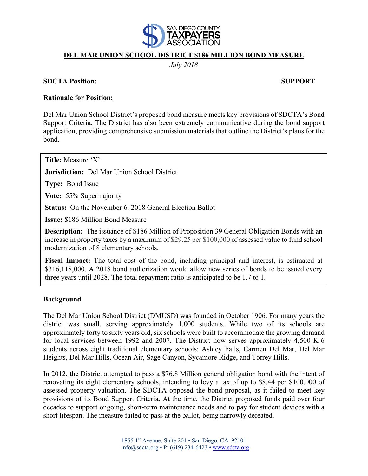

## **DEL MAR UNION SCHOOL DISTRICT \$186 MILLION BOND MEASURE**

*July 2018*

#### **SDCTA Position: SUPPORT**

### **Rationale for Position:**

Del Mar Union School District's proposed bond measure meets key provisions of SDCTA's Bond Support Criteria. The District has also been extremely communicative during the bond support application, providing comprehensive submission materials that outline the District's plans for the bond.

**Title:** Measure 'X'

**Jurisdiction:** Del Mar Union School District

**Type:** Bond Issue

**Vote:** 55% Supermajority

**Status:** On the November 6, 2018 General Election Ballot

**Issue:** \$186 Million Bond Measure

**Description:** The issuance of \$186 Million of Proposition 39 General Obligation Bonds with an increase in property taxes by a maximum of \$29.25 per \$100,000 of assessed value to fund school modernization of 8 elementary schools.

**Fiscal Impact:** The total cost of the bond, including principal and interest, is estimated at \$316,118,000. A 2018 bond authorization would allow new series of bonds to be issued every three years until 2028. The total repayment ratio is anticipated to be 1.7 to 1.

## **Background**

The Del Mar Union School District (DMUSD) was founded in October 1906. For many years the district was small, serving approximately 1,000 students. While two of its schools are approximately forty to sixty years old, six schools were built to accommodate the growing demand for local services between 1992 and 2007. The District now serves approximately 4,500 K-6 students across eight traditional elementary schools: Ashley Falls, Carmen Del Mar, Del Mar Heights, Del Mar Hills, Ocean Air, Sage Canyon, Sycamore Ridge, and Torrey Hills.

In 2012, the District attempted to pass a \$76.8 Million general obligation bond with the intent of renovating its eight elementary schools, intending to levy a tax of up to \$8.44 per \$100,000 of assessed property valuation. The SDCTA opposed the bond proposal, as it failed to meet key provisions of its Bond Support Criteria. At the time, the District proposed funds paid over four decades to support ongoing, short-term maintenance needs and to pay for student devices with a short lifespan. The measure failed to pass at the ballot, being narrowly defeated.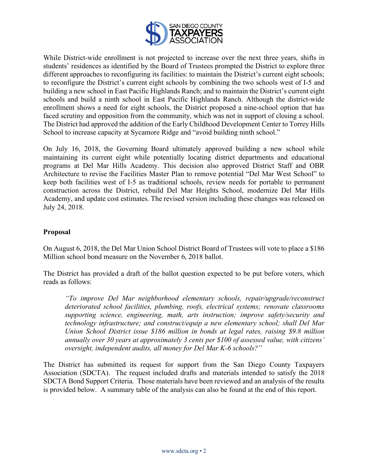

While District-wide enrollment is not projected to increase over the next three years, shifts in students' residences as identified by the Board of Trustees prompted the District to explore three different approaches to reconfiguring its facilities: to maintain the District's current eight schools; to reconfigure the District's current eight schools by combining the two schools west of I-5 and building a new school in East Pacific Highlands Ranch; and to maintain the District's current eight schools and build a ninth school in East Pacific Highlands Ranch. Although the district-wide enrollment shows a need for eight schools, the District proposed a nine-school option that has faced scrutiny and opposition from the community, which was not in support of closing a school. The District had approved the addition of the Early Childhood Development Center to Torrey Hills School to increase capacity at Sycamore Ridge and "avoid building ninth school."

On July 16, 2018, the Governing Board ultimately approved building a new school while maintaining its current eight while potentially locating district departments and educational programs at Del Mar Hills Academy. This decision also approved District Staff and OBR Architecture to revise the Facilities Master Plan to remove potential "Del Mar West School" to keep both facilities west of I-5 as traditional schools, review needs for portable to permanent construction across the District, rebuild Del Mar Heights School, modernize Del Mar Hills Academy, and update cost estimates. The revised version including these changes was released on July 24, 2018.

## **Proposal**

On August 6, 2018, the Del Mar Union School District Board of Trustees will vote to place a \$186 Million school bond measure on the November 6, 2018 ballot.

The District has provided a draft of the ballot question expected to be put before voters, which reads as follows:

*"To improve Del Mar neighborhood elementary schools, repair/upgrade/reconstruct deteriorated school facilities, plumbing, roofs, electrical systems; renovate classrooms supporting science, engineering, math, arts instruction; improve safety/security and technology infrastructure; and construct/equip a new elementary school; shall Del Mar Union School District issue \$186 million in bonds at legal rates, raising \$9.8 million annually over 30 years at approximately 3 cents per \$100 of assessed value, with citizens' oversight, independent audits, all money for Del Mar K-6 schools?"*

The District has submitted its request for support from the San Diego County Taxpayers Association (SDCTA). The request included drafts and materials intended to satisfy the 2018 SDCTA Bond Support Criteria. Those materials have been reviewed and an analysis of the results is provided below. A summary table of the analysis can also be found at the end of this report.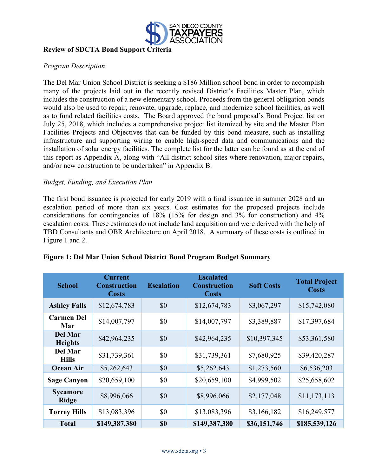

# **Review of SDCTA Bond Support Criteria**

## *Program Description*

The Del Mar Union School District is seeking a \$186 Million school bond in order to accomplish many of the projects laid out in the recently revised District's Facilities Master Plan, which includes the construction of a new elementary school. Proceeds from the general obligation bonds would also be used to repair, renovate, upgrade, replace, and modernize school facilities, as well as to fund related facilities costs. The Board approved the bond proposal's Bond Project list on July 25, 2018, which includes a comprehensive project list itemized by site and the Master Plan Facilities Projects and Objectives that can be funded by this bond measure, such as installing infrastructure and supporting wiring to enable high-speed data and communications and the installation of solar energy facilities. The complete list for the latter can be found as at the end of this report as Appendix A, along with "All district school sites where renovation, major repairs, and/or new construction to be undertaken" in Appendix B.

## *Budget, Funding, and Execution Plan*

The first bond issuance is projected for early 2019 with a final issuance in summer 2028 and an escalation period of more than six years. Cost estimates for the proposed projects include considerations for contingencies of 18% (15% for design and 3% for construction) and 4% escalation costs. These estimates do not include land acquisition and were derived with the help of TBD Consultants and OBR Architecture on April 2018. A summary of these costs is outlined in Figure 1 and 2.

| <b>School</b>                    | <b>Current</b><br><b>Construction</b><br><b>Costs</b> | <b>Escalation</b> | <b>Escalated</b><br><b>Construction</b><br><b>Costs</b> | <b>Soft Costs</b> | <b>Total Project</b><br><b>Costs</b> |
|----------------------------------|-------------------------------------------------------|-------------------|---------------------------------------------------------|-------------------|--------------------------------------|
| <b>Ashley Falls</b>              | \$12,674,783                                          | \$0               | \$12,674,783                                            | \$3,067,297       | \$15,742,080                         |
| <b>Carmen Del</b><br>Mar         | \$14,007,797                                          | \$0               | \$14,007,797                                            | \$3,389,887       | \$17,397,684                         |
| <b>Del Mar</b><br><b>Heights</b> | \$42,964,235                                          | \$0               | \$42,964,235                                            | \$10,397,345      | \$53,361,580                         |
| <b>Del Mar</b><br><b>Hills</b>   | \$31,739,361                                          | \$0               | \$31,739,361                                            | \$7,680,925       | \$39,420,287                         |
| <b>Ocean Air</b>                 | \$5,262,643                                           | \$0               | \$5,262,643                                             | \$1,273,560       | \$6,536,203                          |
| <b>Sage Canyon</b>               | \$20,659,100                                          | \$0               | \$20,659,100                                            | \$4,999,502       | \$25,658,602                         |
| <b>Sycamore</b><br><b>Ridge</b>  | \$8,996,066                                           | \$0               | \$8,996,066                                             | \$2,177,048       | \$11,173,113                         |
| <b>Torrey Hills</b>              | \$13,083,396                                          | \$0               | \$13,083,396                                            | \$3,166,182       | \$16,249,577                         |
| <b>Total</b>                     | \$149,387,380                                         | <b>\$0</b>        | \$149,387,380                                           | \$36,151,746      | \$185,539,126                        |

## **Figure 1: Del Mar Union School District Bond Program Budget Summary**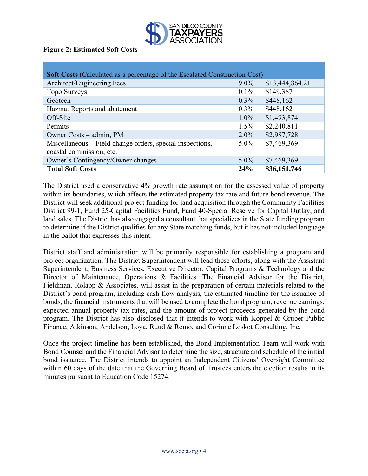

## **Figure 2: Estimated Soft Costs**

| <b>Soft Costs (Calculated as a percentage of the Escalated Construction Cost)</b> |         |                 |  |  |
|-----------------------------------------------------------------------------------|---------|-----------------|--|--|
| Architect/Engineering Fees                                                        | $9.0\%$ | \$13,444,864.21 |  |  |
| Topo Surveys                                                                      | $0.1\%$ | \$149,387       |  |  |
| Geotech                                                                           | $0.3\%$ | \$448,162       |  |  |
| Hazmat Reports and abatement                                                      | $0.3\%$ | \$448,162       |  |  |
| Off-Site                                                                          | $1.0\%$ | \$1,493,874     |  |  |
| Permits                                                                           | 1.5%    | \$2,240,811     |  |  |
| Owner Costs – admin, PM                                                           | $2.0\%$ | \$2,987,728     |  |  |
| Miscellaneous - Field change orders, special inspections,                         | $5.0\%$ | \$7,469,369     |  |  |
| coastal commission, etc.                                                          |         |                 |  |  |
| Owner's Contingency/Owner changes                                                 | $5.0\%$ | \$7,469,369     |  |  |
| <b>Total Soft Costs</b>                                                           | 24%     | \$36,151,746    |  |  |

The District used a conservative 4% growth rate assumption for the assessed value of property within its boundaries, which affects the estimated property tax rate and future bond revenue. The District will seek additional project funding for land acquisition through the Community Facilities District 99-1, Fund 25-Capital Facilities Fund, Fund 40-Special Reserve for Capital Outlay, and land sales. The District has also engaged a consultant that specializes in the State funding program to determine if the District qualifies for any State matching funds, but it has not included language in the ballot that expresses this intent.

District staff and administration will be primarily responsible for establishing a program and project organization. The District Superintendent will lead these efforts, along with the Assistant Superintendent, Business Services, Executive Director, Capital Programs & Technology and the Director of Maintenance, Operations & Facilities. The Financial Advisor for the District, Fieldman, Rolapp & Associates, will assist in the preparation of certain materials related to the District's bond program, including cash-flow analysis, the estimated timeline for the issuance of bonds, the financial instruments that will be used to complete the bond program, revenue earnings, expected annual property tax rates, and the amount of project proceeds generated by the bond program. The District has also disclosed that it intends to work with Koppel & Gruber Public Finance, Atkinson, Andelson, Loya, Ruud & Romo, and Corinne Loskot Consulting, Inc.

Once the project timeline has been established, the Bond Implementation Team will work with Bond Counsel and the Financial Advisor to determine the size, structure and schedule of the initial bond issuance. The District intends to appoint an Independent Citizens' Oversight Committee within 60 days of the date that the Governing Board of Trustees enters the election results in its minutes pursuant to Education Code 15274.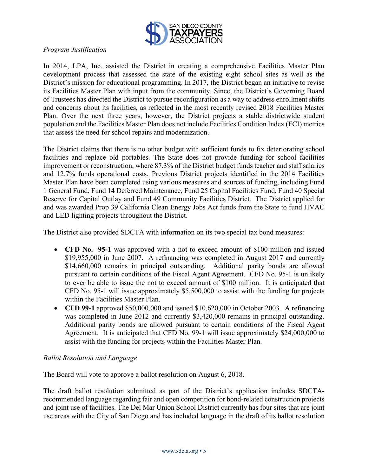

# *Program Justification*

In 2014, LPA, Inc. assisted the District in creating a comprehensive Facilities Master Plan development process that assessed the state of the existing eight school sites as well as the District's mission for educational programming. In 2017, the District began an initiative to revise its Facilities Master Plan with input from the community. Since, the District's Governing Board of Trustees has directed the District to pursue reconfiguration as a way to address enrollment shifts and concerns about its facilities, as reflected in the most recently revised 2018 Facilities Master Plan. Over the next three years, however, the District projects a stable districtwide student population and the Facilities Master Plan does not include Facilities Condition Index (FCI) metrics that assess the need for school repairs and modernization.

The District claims that there is no other budget with sufficient funds to fix deteriorating school facilities and replace old portables. The State does not provide funding for school facilities improvement or reconstruction, where 87.3% of the District budget funds teacher and staff salaries and 12.7% funds operational costs. Previous District projects identified in the 2014 Facilities Master Plan have been completed using various measures and sources of funding, including Fund 1 General Fund, Fund 14 Deferred Maintenance, Fund 25 Capital Facilities Fund, Fund 40 Special Reserve for Capital Outlay and Fund 49 Community Facilities District. The District applied for and was awarded Prop 39 California Clean Energy Jobs Act funds from the State to fund HVAC and LED lighting projects throughout the District.

The District also provided SDCTA with information on its two special tax bond measures:

- **CFD No. 95-1** was approved with a not to exceed amount of \$100 million and issued \$19,955,000 in June 2007. A refinancing was completed in August 2017 and currently \$14,660,000 remains in principal outstanding. Additional parity bonds are allowed pursuant to certain conditions of the Fiscal Agent Agreement. CFD No. 95-1 is unlikely to ever be able to issue the not to exceed amount of \$100 million. It is anticipated that CFD No. 95-1 will issue approximately \$5,500,000 to assist with the funding for projects within the Facilities Master Plan.
- **CFD 99-1** approved \$50,000,000 and issued \$10,620,000 in October 2003. A refinancing was completed in June 2012 and currently \$3,420,000 remains in principal outstanding. Additional parity bonds are allowed pursuant to certain conditions of the Fiscal Agent Agreement. It is anticipated that CFD No. 99-1 will issue approximately \$24,000,000 to assist with the funding for projects within the Facilities Master Plan.

## *Ballot Resolution and Language*

The Board will vote to approve a ballot resolution on August 6, 2018.

The draft ballot resolution submitted as part of the District's application includes SDCTArecommended language regarding fair and open competition for bond-related construction projects and joint use of facilities. The Del Mar Union School District currently has four sites that are joint use areas with the City of San Diego and has included language in the draft of its ballot resolution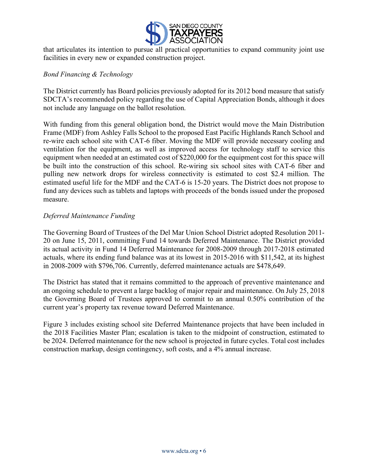

that articulates its intention to pursue all practical opportunities to expand community joint use facilities in every new or expanded construction project.

## *Bond Financing & Technology*

The District currently has Board policies previously adopted for its 2012 bond measure that satisfy SDCTA's recommended policy regarding the use of Capital Appreciation Bonds, although it does not include any language on the ballot resolution.

With funding from this general obligation bond, the District would move the Main Distribution Frame (MDF) from Ashley Falls School to the proposed East Pacific Highlands Ranch School and re-wire each school site with CAT-6 fiber. Moving the MDF will provide necessary cooling and ventilation for the equipment, as well as improved access for technology staff to service this equipment when needed at an estimated cost of \$220,000 for the equipment cost for this space will be built into the construction of this school. Re-wiring six school sites with CAT-6 fiber and pulling new network drops for wireless connectivity is estimated to cost \$2.4 million. The estimated useful life for the MDF and the CAT-6 is 15-20 years. The District does not propose to fund any devices such as tablets and laptops with proceeds of the bonds issued under the proposed measure.

## *Deferred Maintenance Funding*

The Governing Board of Trustees of the Del Mar Union School District adopted Resolution 2011- 20 on June 15, 2011, committing Fund 14 towards Deferred Maintenance. The District provided its actual activity in Fund 14 Deferred Maintenance for 2008-2009 through 2017-2018 estimated actuals, where its ending fund balance was at its lowest in 2015-2016 with \$11,542, at its highest in 2008-2009 with \$796,706. Currently, deferred maintenance actuals are \$478,649.

The District has stated that it remains committed to the approach of preventive maintenance and an ongoing schedule to prevent a large backlog of major repair and maintenance. On July 25, 2018 the Governing Board of Trustees approved to commit to an annual 0.50% contribution of the current year's property tax revenue toward Deferred Maintenance.

Figure 3 includes existing school site Deferred Maintenance projects that have been included in the 2018 Facilities Master Plan; escalation is taken to the midpoint of construction, estimated to be 2024. Deferred maintenance for the new school is projected in future cycles. Total cost includes construction markup, design contingency, soft costs, and a 4% annual increase.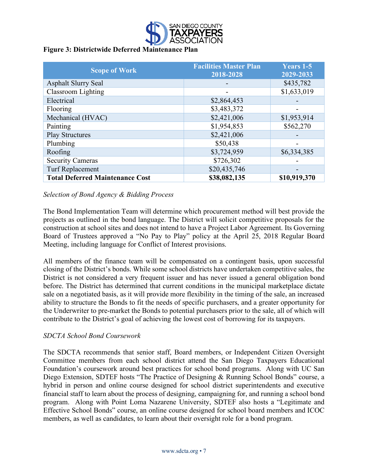

# **Figure 3: Districtwide Deferred Maintenance Plan**

| <b>Scope of Work</b>                   | <b>Facilities Master Plan</b><br>2018-2028 | <b>Years 1-5</b><br>$\overline{2029} - 2033$ |
|----------------------------------------|--------------------------------------------|----------------------------------------------|
| <b>Asphalt Slurry Seal</b>             |                                            | \$435,782                                    |
| Classroom Lighting                     |                                            | \$1,633,019                                  |
| Electrical                             | \$2,864,453                                |                                              |
| Flooring                               | \$3,483,372                                |                                              |
| Mechanical (HVAC)                      | \$2,421,006                                | \$1,953,914                                  |
| Painting                               | \$1,954,853                                | \$562,270                                    |
| <b>Play Structures</b>                 | \$2,421,006                                |                                              |
| Plumbing                               | \$50,438                                   |                                              |
| Roofing                                | \$3,724,959                                | \$6,334,385                                  |
| <b>Security Cameras</b>                | \$726,302                                  |                                              |
| <b>Turf Replacement</b>                | \$20,435,746                               |                                              |
| <b>Total Deferred Maintenance Cost</b> | \$38,082,135                               | \$10,919,370                                 |

# *Selection of Bond Agency & Bidding Process*

The Bond Implementation Team will determine which procurement method will best provide the projects as outlined in the bond language. The District will solicit competitive proposals for the construction at school sites and does not intend to have a Project Labor Agreement. Its Governing Board of Trustees approved a "No Pay to Play" policy at the April 25, 2018 Regular Board Meeting, including language for Conflict of Interest provisions.

All members of the finance team will be compensated on a contingent basis, upon successful closing of the District's bonds. While some school districts have undertaken competitive sales, the District is not considered a very frequent issuer and has never issued a general obligation bond before. The District has determined that current conditions in the municipal marketplace dictate sale on a negotiated basis, as it will provide more flexibility in the timing of the sale, an increased ability to structure the Bonds to fit the needs of specific purchasers, and a greater opportunity for the Underwriter to pre-market the Bonds to potential purchasers prior to the sale, all of which will contribute to the District's goal of achieving the lowest cost of borrowing for its taxpayers.

## *SDCTA School Bond Coursework*

The SDCTA recommends that senior staff, Board members, or Independent Citizen Oversight Committee members from each school district attend the San Diego Taxpayers Educational Foundation's coursework around best practices for school bond programs. Along with UC San Diego Extension, SDTEF hosts "The Practice of Designing & Running School Bonds" course, a hybrid in person and online course designed for school district superintendents and executive financial staff to learn about the process of designing, campaigning for, and running a school bond program. Along with Point Loma Nazarene University, SDTEF also hosts a "Legitimate and Effective School Bonds" course, an online course designed for school board members and ICOC members, as well as candidates, to learn about their oversight role for a bond program.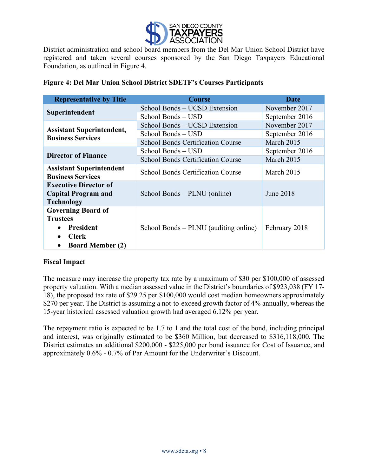

District administration and school board members from the Del Mar Union School District have registered and taken several courses sponsored by the San Diego Taxpayers Educational Foundation, as outlined in Figure 4.

| <b>Representative by Title</b>       | <b>Course</b>                            | Date           |  |
|--------------------------------------|------------------------------------------|----------------|--|
|                                      | School Bonds - UCSD Extension            | November 2017  |  |
| Superintendent                       | School Bonds – USD                       | September 2016 |  |
| <b>Assistant Superintendent,</b>     | School Bonds – UCSD Extension            | November 2017  |  |
| <b>Business Services</b>             | School Bonds – USD                       | September 2016 |  |
|                                      | <b>School Bonds Certification Course</b> | March 2015     |  |
| <b>Director of Finance</b>           | School Bonds – USD                       | September 2016 |  |
|                                      | <b>School Bonds Certification Course</b> | March 2015     |  |
| <b>Assistant Superintendent</b>      | School Bonds Certification Course        | March 2015     |  |
| <b>Business Services</b>             |                                          |                |  |
| <b>Executive Director of</b>         |                                          |                |  |
| <b>Capital Program and</b>           | School Bonds – PLNU (online)             | June 2018      |  |
| <b>Technology</b>                    |                                          |                |  |
| <b>Governing Board of</b>            |                                          |                |  |
| <b>Trustees</b>                      |                                          |                |  |
| President                            | School Bonds – PLNU (auditing online)    | February 2018  |  |
| <b>Clerk</b>                         |                                          |                |  |
| <b>Board Member (2)</b><br>$\bullet$ |                                          |                |  |

# **Figure 4: Del Mar Union School District SDETF's Courses Participants**

# **Fiscal Impact**

The measure may increase the property tax rate by a maximum of \$30 per \$100,000 of assessed property valuation. With a median assessed value in the District's boundaries of \$923,038 (FY 17- 18), the proposed tax rate of \$29.25 per \$100,000 would cost median homeowners approximately \$270 per year. The District is assuming a not-to-exceed growth factor of 4% annually, whereas the 15-year historical assessed valuation growth had averaged 6.12% per year.

The repayment ratio is expected to be 1.7 to 1 and the total cost of the bond, including principal and interest, was originally estimated to be \$360 Million, but decreased to \$316,118,000. The District estimates an additional \$200,000 - \$225,000 per bond issuance for Cost of Issuance, and approximately 0.6% - 0.7% of Par Amount for the Underwriter's Discount.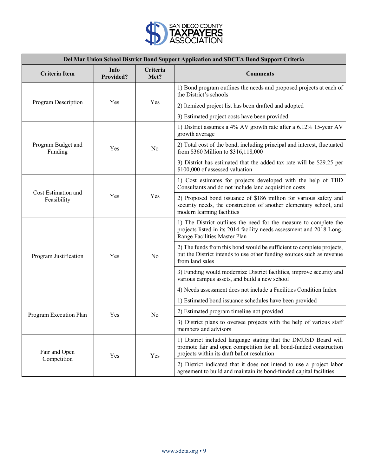

| Del Mar Union School District Bond Support Application and SDCTA Bond Support Criteria |                   |                  |                                                                                                                                                                                      |
|----------------------------------------------------------------------------------------|-------------------|------------------|--------------------------------------------------------------------------------------------------------------------------------------------------------------------------------------|
| <b>Criteria</b> Item                                                                   | Info<br>Provided? | Criteria<br>Met? | <b>Comments</b>                                                                                                                                                                      |
|                                                                                        | Yes               | Yes              | 1) Bond program outlines the needs and proposed projects at each of<br>the District's schools                                                                                        |
| Program Description                                                                    |                   |                  | 2) Itemized project list has been drafted and adopted                                                                                                                                |
|                                                                                        |                   |                  | 3) Estimated project costs have been provided                                                                                                                                        |
| Program Budget and<br>Funding                                                          | Yes               | N <sub>0</sub>   | 1) District assumes a 4% AV growth rate after a 6.12% 15-year AV<br>growth average                                                                                                   |
|                                                                                        |                   |                  | 2) Total cost of the bond, including principal and interest, fluctuated<br>from \$360 Million to \$316,118,000                                                                       |
|                                                                                        |                   |                  | 3) District has estimated that the added tax rate will be \$29.25 per<br>\$100,000 of assessed valuation                                                                             |
| Cost Estimation and<br>Feasibility                                                     | Yes               | Yes              | 1) Cost estimates for projects developed with the help of TBD<br>Consultants and do not include land acquisition costs                                                               |
|                                                                                        |                   |                  | 2) Proposed bond issuance of \$186 million for various safety and<br>security needs, the construction of another elementary school, and<br>modern learning facilities                |
| Program Justification                                                                  | Yes               | No               | 1) The District outlines the need for the measure to complete the<br>projects listed in its 2014 facility needs assessment and 2018 Long-<br>Range Facilities Master Plan            |
|                                                                                        |                   |                  | 2) The funds from this bond would be sufficient to complete projects,<br>but the District intends to use other funding sources such as revenue<br>from land sales                    |
|                                                                                        |                   |                  | 3) Funding would modernize District facilities, improve security and<br>various campus assets, and build a new school                                                                |
|                                                                                        |                   |                  | 4) Needs assessment does not include a Facilities Condition Index                                                                                                                    |
| Program Execution Plan                                                                 | Yes               | N <sub>0</sub>   | 1) Estimated bond issuance schedules have been provided                                                                                                                              |
|                                                                                        |                   |                  | 2) Estimated program timeline not provided                                                                                                                                           |
|                                                                                        |                   |                  | 3) District plans to oversee projects with the help of various staff<br>members and advisors                                                                                         |
| Fair and Open<br>Competition                                                           | Yes               | Yes              | 1) District included language stating that the DMUSD Board will<br>promote fair and open competition for all bond-funded construction<br>projects within its draft ballot resolution |
|                                                                                        |                   |                  | 2) District indicated that it does not intend to use a project labor<br>agreement to build and maintain its bond-funded capital facilities                                           |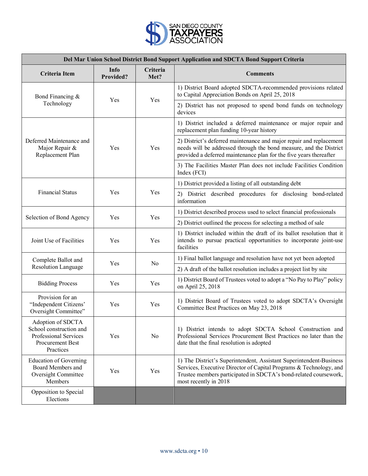

| Del Mar Union School District Bond Support Application and SDCTA Bond Support Criteria                        |                          |                  |                                                                                                                                                                                                                                        |
|---------------------------------------------------------------------------------------------------------------|--------------------------|------------------|----------------------------------------------------------------------------------------------------------------------------------------------------------------------------------------------------------------------------------------|
| Criteria Item                                                                                                 | Info<br><b>Provided?</b> | Criteria<br>Met? | <b>Comments</b>                                                                                                                                                                                                                        |
| Bond Financing &<br>Technology                                                                                | Yes                      | Yes              | 1) District Board adopted SDCTA-recommended provisions related<br>to Capital Appreciation Bonds on April 25, 2018                                                                                                                      |
|                                                                                                               |                          |                  | 2) District has not proposed to spend bond funds on technology<br>devices                                                                                                                                                              |
| Deferred Maintenance and<br>Major Repair &<br>Replacement Plan                                                | Yes                      | Yes              | 1) District included a deferred maintenance or major repair and<br>replacement plan funding 10-year history                                                                                                                            |
|                                                                                                               |                          |                  | 2) District's deferred maintenance and major repair and replacement<br>needs will be addressed through the bond measure, and the District<br>provided a deferred maintenance plan for the five years thereafter                        |
|                                                                                                               |                          |                  | 3) The Facilities Master Plan does not include Facilities Condition<br>Index (FCI)                                                                                                                                                     |
|                                                                                                               | Yes                      | Yes              | 1) District provided a listing of all outstanding debt                                                                                                                                                                                 |
| <b>Financial Status</b>                                                                                       |                          |                  | 2) District described procedures for disclosing bond-related<br>information                                                                                                                                                            |
| Selection of Bond Agency                                                                                      | Yes                      | Yes              | 1) District described process used to select financial professionals                                                                                                                                                                   |
|                                                                                                               |                          |                  | 2) District outlined the process for selecting a method of sale                                                                                                                                                                        |
| Joint Use of Facilities                                                                                       | Yes                      | Yes              | 1) District included within the draft of its ballot resolution that it<br>intends to pursue practical opportunities to incorporate joint-use<br>facilities                                                                             |
| Complete Ballot and                                                                                           | Yes                      | N <sub>0</sub>   | 1) Final ballot language and resolution have not yet been adopted                                                                                                                                                                      |
| <b>Resolution Language</b>                                                                                    |                          |                  | 2) A draft of the ballot resolution includes a project list by site                                                                                                                                                                    |
| <b>Bidding Process</b>                                                                                        | Yes                      | Yes              | 1) District Board of Trustees voted to adopt a "No Pay to Play" policy<br>on April 25, 2018                                                                                                                                            |
| Provision for an<br>"Independent Citizens"<br>Oversight Committee"                                            | Yes                      | Yes              | 1) District Board of Trustees voted to adopt SDCTA's Oversight<br>Committee Best Practices on May 23, 2018                                                                                                                             |
| Adoption of SDCTA<br>School construction and<br>Professional Services<br><b>Procurement Best</b><br>Practices | Yes                      | No               | 1) District intends to adopt SDCTA School Construction and<br>Professional Services Procurement Best Practices no later than the<br>date that the final resolution is adopted                                                          |
| <b>Education of Governing</b><br>Board Members and<br>Oversight Committee<br><b>Members</b>                   | Yes                      | Yes              | 1) The District's Superintendent, Assistant Superintendent-Business<br>Services, Executive Director of Capital Programs & Technology, and<br>Trustee members participated in SDCTA's bond-related coursework,<br>most recently in 2018 |
| Opposition to Special<br>Elections                                                                            |                          |                  |                                                                                                                                                                                                                                        |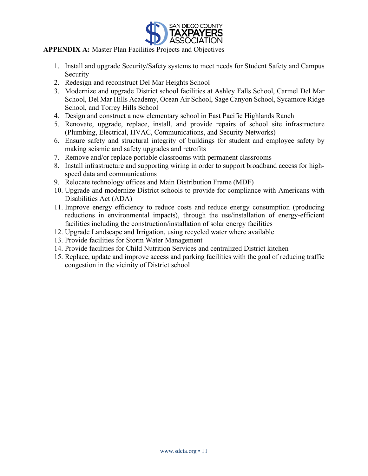

# **APPENDIX A:** Master Plan Facilities Projects and Objectives

- 1. Install and upgrade Security/Safety systems to meet needs for Student Safety and Campus **Security**
- 2. Redesign and reconstruct Del Mar Heights School
- 3. Modernize and upgrade District school facilities at Ashley Falls School, Carmel Del Mar School, Del Mar Hills Academy, Ocean Air School, Sage Canyon School, Sycamore Ridge School, and Torrey Hills School
- 4. Design and construct a new elementary school in East Pacific Highlands Ranch
- 5. Renovate, upgrade, replace, install, and provide repairs of school site infrastructure (Plumbing, Electrical, HVAC, Communications, and Security Networks)
- 6. Ensure safety and structural integrity of buildings for student and employee safety by making seismic and safety upgrades and retrofits
- 7. Remove and/or replace portable classrooms with permanent classrooms
- 8. Install infrastructure and supporting wiring in order to support broadband access for highspeed data and communications
- 9. Relocate technology offices and Main Distribution Frame (MDF)
- 10. Upgrade and modernize District schools to provide for compliance with Americans with Disabilities Act (ADA)
- 11. Improve energy efficiency to reduce costs and reduce energy consumption (producing reductions in environmental impacts), through the use/installation of energy-efficient facilities including the construction/installation of solar energy facilities
- 12. Upgrade Landscape and Irrigation, using recycled water where available
- 13. Provide facilities for Storm Water Management
- 14. Provide facilities for Child Nutrition Services and centralized District kitchen
- 15. Replace, update and improve access and parking facilities with the goal of reducing traffic congestion in the vicinity of District school